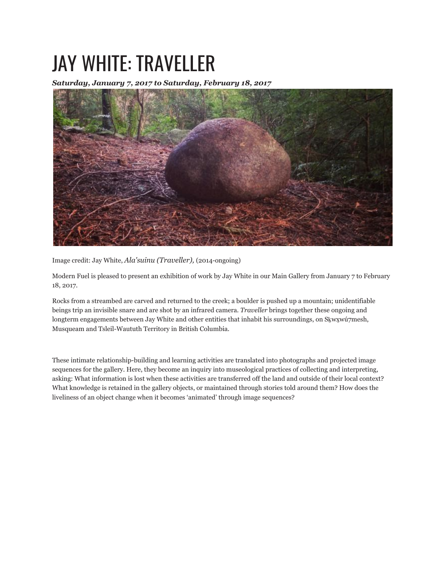## JAY WHITE: TRAVELLER

*Saturday, January 7, 2017 to Saturday, February 18, 2017*



Image credit: Jay White, *Ala'suinu (Traveller),* (2014-ongoing)

Modern Fuel is pleased to present an exhibition of work by Jay White in our Main Gallery from January 7 to February 18, 2017.

Rocks from a streambed are carved and returned to the creek; a boulder is pushed up a mountain; unidentifiable beings trip an invisible snare and are shot by an infrared camera. *Traveller* brings together these ongoing and longterm engagements between Jay White and other entities that inhabit his surroundings, on Skwxwú7mesh, Musqueam and Tsleil-Waututh Territory in British Columbia.

These intimate relationship-building and learning activities are translated into photographs and projected image sequences for the gallery. Here, they become an inquiry into museological practices of collecting and interpreting, asking: What information is lost when these activities are transferred off the land and outside of their local context? What knowledge is retained in the gallery objects, or maintained through stories told around them? How does the liveliness of an object change when it becomes 'animated' through image sequences?